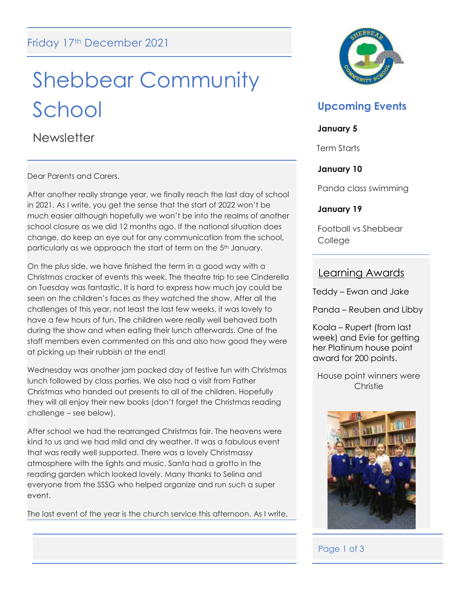# Shebbear Community School

**Newsletter** 

Dear Parents and Carers,

After another really strange year, we finally reach the last day of school in 2021. As I write, you get the sense that the start of 2022 won't be much easier although hopefully we won't be into the realms of another school closure as we did 12 months ago. If the national situation does change, do keep an eye out for any communication from the school, particularly as we approach the start of term on the 5<sup>th</sup> January.

On the plus side, we have finished the term in a good way with a Christmas cracker of events this week. The theatre trip to see Cinderella on Tuesday was fantastic. It is hard to express how much joy could be seen on the children's faces as they watched the show. After all the challenges of this year, not least the last few weeks, it was lovely to have a few hours of fun. The children were really well behaved both during the show and when eating their lunch afterwards. One of the staff members even commented on this and also how good they were at picking up their rubbish at the end!

Wednesday was another jam packed day of festive fun with Christmas lunch followed by class parties. We also had a visit from Father Christmas who handed out presents to all of the children. Hopefully they will all enjoy their new books (don't forget the Christmas reading challenge – see below).

After school we had the rearranged Christmas fair. The heavens were kind to us and we had mild and dry weather. It was a fabulous event that was really well supported. There was a lovely Christmassy atmosphere with the lights and music. Santa had a grotto in the reading garden which looked lovely. Many thanks to Selina and everyone from the SSSG who helped organize and run such a super event.

The last event of the year is the church service this afternoon. As I write,



# **Upcoming Events**

### **January 5**

Term Starts

# **January 10**

Panda class swimming

# **January 19**

Football vs Shebbear College

# Learning Awards

Teddy – Ewan and Jake

Panda – Reuben and Libby

Koala – Rupert (from last week) and Evie for getting her Platinum house point award for 200 points.

House point winners were **Christie** 



# Page 1 of 3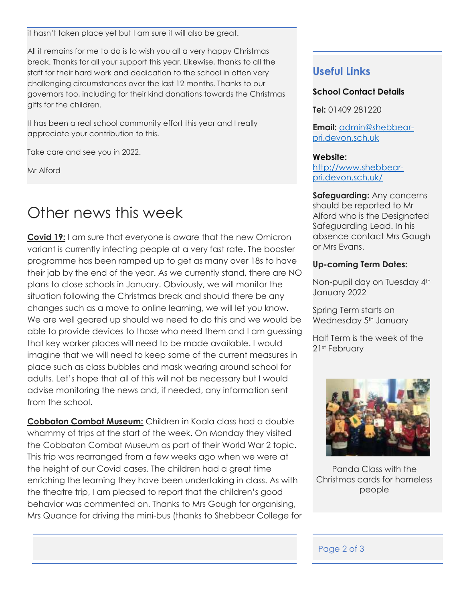it hasn't taken place yet but I am sure it will also be great.

All it remains for me to do is to wish you all a very happy Christmas break. Thanks for all your support this year. Likewise, thanks to all the staff for their hard work and dedication to the school in often very challenging circumstances over the last 12 months. Thanks to our governors too, including for their kind donations towards the Christmas gifts for the children.

It has been a real school community effort this year and I really appreciate your contribution to this.

Take care and see you in 2022.

Mr Alford

# Other news this week

**Covid 19:** I am sure that everyone is aware that the new Omicron variant is currently infecting people at a very fast rate. The booster programme has been ramped up to get as many over 18s to have their jab by the end of the year. As we currently stand, there are NO plans to close schools in January. Obviously, we will monitor the situation following the Christmas break and should there be any changes such as a move to online learning, we will let you know. We are well geared up should we need to do this and we would be able to provide devices to those who need them and I am guessing that key worker places will need to be made available. I would imagine that we will need to keep some of the current measures in place such as class bubbles and mask wearing around school for adults. Let's hope that all of this will not be necessary but I would advise monitoring the news and, if needed, any information sent from the school.

**Cobbaton Combat Museum:** Children in Koala class had a double whammy of trips at the start of the week. On Monday they visited the Cobbaton Combat Museum as part of their World War 2 topic. This trip was rearranged from a few weeks ago when we were at the height of our Covid cases. The children had a great time enriching the learning they have been undertaking in class. As with the theatre trip, I am pleased to report that the children's good behavior was commented on. Thanks to Mrs Gough for organising, Mrs Quance for driving the mini-bus (thanks to Shebbear College for

# **Useful Links**

# **School Contact Details**

**Tel:** 01409 281220

**Email:** [admin@shebbear](mailto:admin@shebbear-pri.devon.sch.uk)[pri.devon.sch.uk](mailto:admin@shebbear-pri.devon.sch.uk)

#### **Website:**

[http://www.shebbear](http://www.shebbear-pri.devon.sch.uk/)[pri.devon.sch.uk/](http://www.shebbear-pri.devon.sch.uk/)

**Safeguarding:** Any concerns should be reported to Mr Alford who is the Designated Safeguarding Lead. In his absence contact Mrs Gough or Mrs Evans.

# **Up-coming Term Dates:**

Non-pupil day on Tuesday 4<sup>th</sup> January 2022

Spring Term starts on Wednesday 5<sup>th</sup> January

Half Term is the week of the 21st February



Panda Class with the Christmas cards for homeless people

# Page 2 of 3